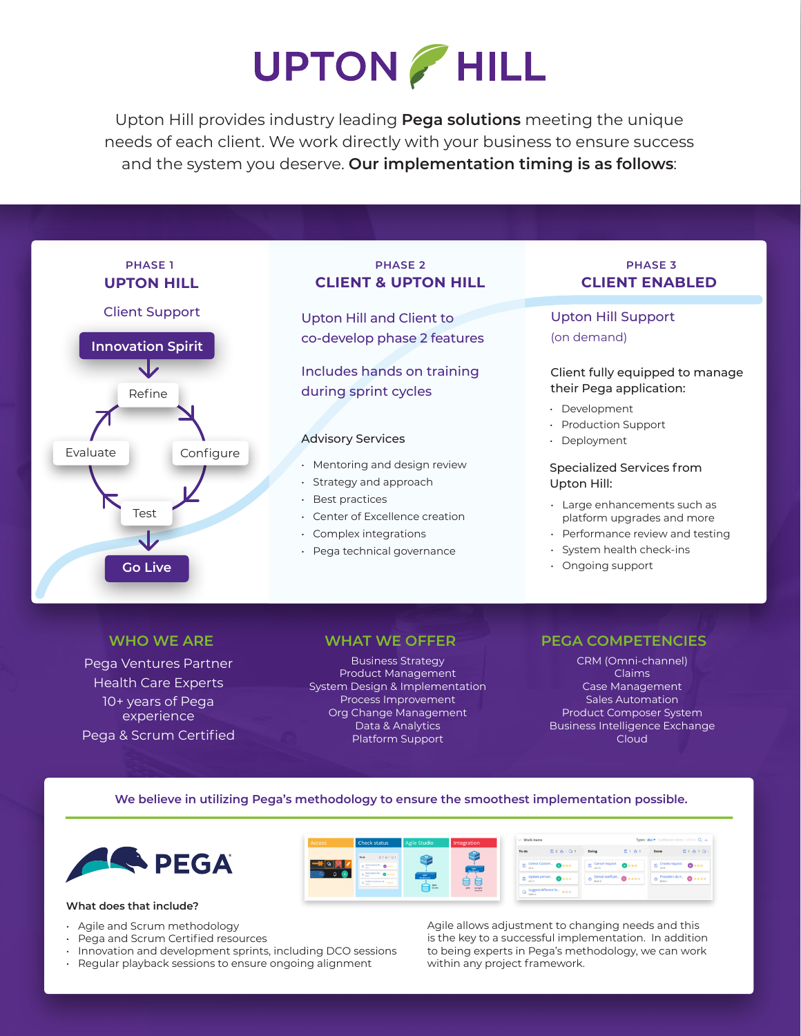# **UPTON / HILL**

Upton Hill provides industry leading **Pega solutions** meeting the unique needs of each client. We work directly with your business to ensure success and the system you deserve. **Our implementation timing is as follows**:

![](_page_0_Figure_2.jpeg)

Pega Ventures Partner Health Care Experts 10+ years of Pega experience Pega & Scrum Certified

**Business Strategy** Product Management System Design & Implementation Process Improvement Org Change Management Data & Analytics Platform Support

### **WHO WE ARE WHAT WE OFFER PEGA COMPETENCIES**

CRM (Omni-channel) Claims Case Management Sales Automation Product Composer System Business Intelligence Exchange Cloud

#### **We believe in utilizing Pega's methodology to ensure the smoothest implementation possible.**

![](_page_0_Picture_10.jpeg)

#### **What does that include?**

- Agile and Scrum methodology
- Pega and Scrum Certified resources
- Innovation and development sprints, including DCO sessions
- Regular playback sessions to ensure ongoing alignment

 $E + 8 + Q$  $B28.01$ 日1 <br />
1 Done  $\bullet \bullet \bullet \bullet$  $\bullet \cdot \cdot$  $\bullet \cdot \cdot$  $\bullet$ .  $\bullet \bullet \bullet \bullet$ 

> Agile allows adjustment to changing needs and this is the key to a successful implementation. In addition to being experts in Pega's methodology, we can work within any project framework.